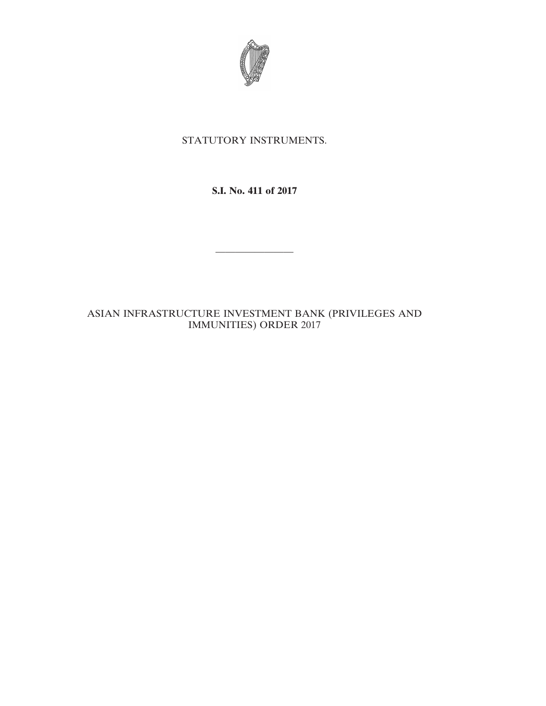

# STATUTORY INSTRUMENTS.

**S.I. No. 411 of 2017**

————————

ASIAN INFRASTRUCTURE INVESTMENT BANK (PRIVILEGES AND IMMUNITIES) ORDER 2017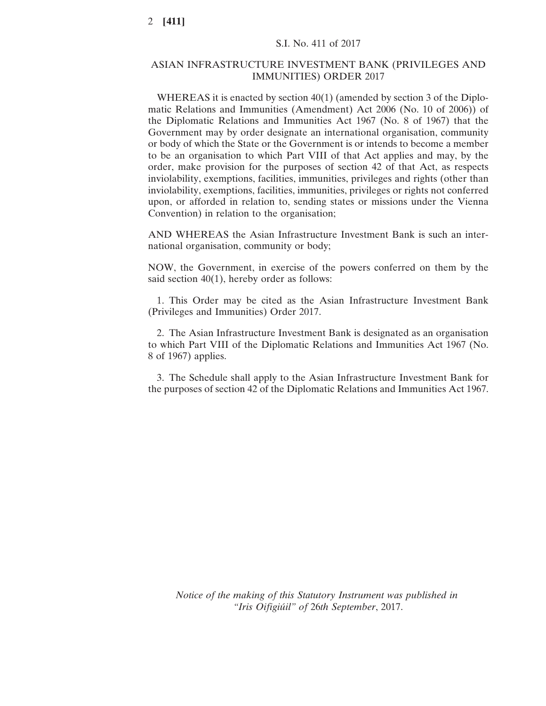### ASIAN INFRASTRUCTURE INVESTMENT BANK (PRIVILEGES AND IMMUNITIES) ORDER 2017

WHEREAS it is enacted by section 40(1) (amended by section 3 of the Diplomatic Relations and Immunities (Amendment) Act 2006 (No. 10 of 2006)) of the Diplomatic Relations and Immunities Act 1967 (No. 8 of 1967) that the Government may by order designate an international organisation, community or body of which the State or the Government is or intends to become a member to be an organisation to which Part VIII of that Act applies and may, by the order, make provision for the purposes of section 42 of that Act, as respects inviolability, exemptions, facilities, immunities, privileges and rights (other than inviolability, exemptions, facilities, immunities, privileges or rights not conferred upon, or afforded in relation to, sending states or missions under the Vienna Convention) in relation to the organisation;

AND WHEREAS the Asian Infrastructure Investment Bank is such an international organisation, community or body;

NOW, the Government, in exercise of the powers conferred on them by the said section 40(1), hereby order as follows:

1. This Order may be cited as the Asian Infrastructure Investment Bank (Privileges and Immunities) Order 2017.

2. The Asian Infrastructure Investment Bank is designated as an organisation to which Part VIII of the Diplomatic Relations and Immunities Act 1967 (No. 8 of 1967) applies.

3. The Schedule shall apply to the Asian Infrastructure Investment Bank for the purposes of section 42 of the Diplomatic Relations and Immunities Act 1967.

*Notice of the making of this Statutory Instrument was published in "Iris Oifigiúil" of* 26*th September*, 2017.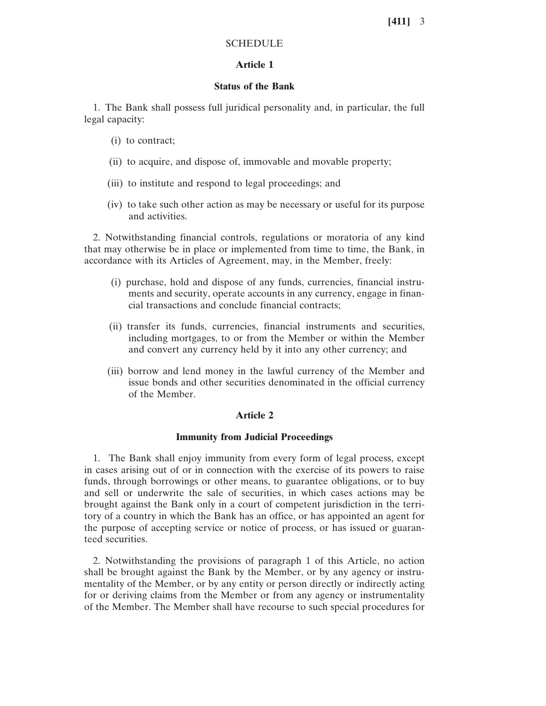# **SCHEDULE**

# **Article 1**

# **Status of the Bank**

1. The Bank shall possess full juridical personality and, in particular, the full legal capacity:

- (i) to contract;
- (ii) to acquire, and dispose of, immovable and movable property;
- (iii) to institute and respond to legal proceedings; and
- (iv) to take such other action as may be necessary or useful for its purpose and activities.

2. Notwithstanding financial controls, regulations or moratoria of any kind that may otherwise be in place or implemented from time to time, the Bank, in accordance with its Articles of Agreement, may, in the Member, freely:

- (i) purchase, hold and dispose of any funds, currencies, financial instruments and security, operate accounts in any currency, engage in financial transactions and conclude financial contracts;
- (ii) transfer its funds, currencies, financial instruments and securities, including mortgages, to or from the Member or within the Member and convert any currency held by it into any other currency; and
- (iii) borrow and lend money in the lawful currency of the Member and issue bonds and other securities denominated in the official currency of the Member.

### **Article 2**

### **Immunity from Judicial Proceedings**

1. The Bank shall enjoy immunity from every form of legal process, except in cases arising out of or in connection with the exercise of its powers to raise funds, through borrowings or other means, to guarantee obligations, or to buy and sell or underwrite the sale of securities, in which cases actions may be brought against the Bank only in a court of competent jurisdiction in the territory of a country in which the Bank has an office, or has appointed an agent for the purpose of accepting service or notice of process, or has issued or guaranteed securities.

2. Notwithstanding the provisions of paragraph 1 of this Article, no action shall be brought against the Bank by the Member, or by any agency or instrumentality of the Member, or by any entity or person directly or indirectly acting for or deriving claims from the Member or from any agency or instrumentality of the Member. The Member shall have recourse to such special procedures for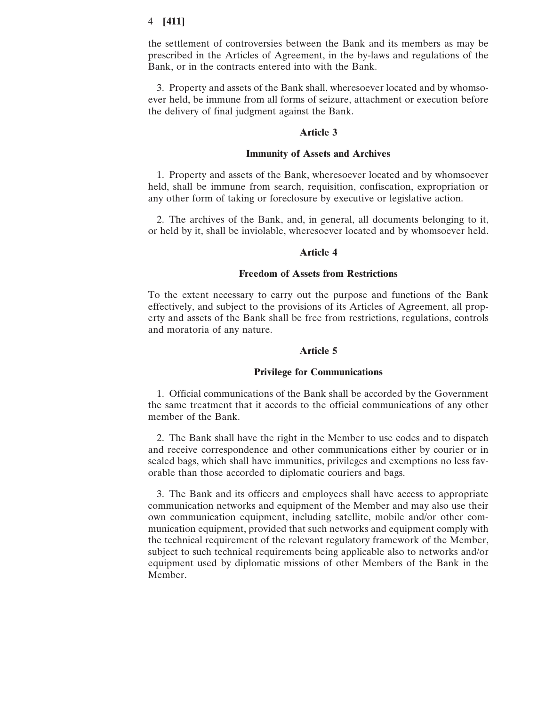the settlement of controversies between the Bank and its members as may be prescribed in the Articles of Agreement, in the by-laws and regulations of the Bank, or in the contracts entered into with the Bank.

3. Property and assets of the Bank shall, wheresoever located and by whomsoever held, be immune from all forms of seizure, attachment or execution before the delivery of final judgment against the Bank.

### **Article 3**

### **Immunity of Assets and Archives**

1. Property and assets of the Bank, wheresoever located and by whomsoever held, shall be immune from search, requisition, confiscation, expropriation or any other form of taking or foreclosure by executive or legislative action.

2. The archives of the Bank, and, in general, all documents belonging to it, or held by it, shall be inviolable, wheresoever located and by whomsoever held.

### **Article 4**

### **Freedom of Assets from Restrictions**

To the extent necessary to carry out the purpose and functions of the Bank effectively, and subject to the provisions of its Articles of Agreement, all property and assets of the Bank shall be free from restrictions, regulations, controls and moratoria of any nature.

#### **Article 5**

#### **Privilege for Communications**

1. Official communications of the Bank shall be accorded by the Government the same treatment that it accords to the official communications of any other member of the Bank.

2. The Bank shall have the right in the Member to use codes and to dispatch and receive correspondence and other communications either by courier or in sealed bags, which shall have immunities, privileges and exemptions no less favorable than those accorded to diplomatic couriers and bags.

3. The Bank and its officers and employees shall have access to appropriate communication networks and equipment of the Member and may also use their own communication equipment, including satellite, mobile and/or other communication equipment, provided that such networks and equipment comply with the technical requirement of the relevant regulatory framework of the Member, subject to such technical requirements being applicable also to networks and/or equipment used by diplomatic missions of other Members of the Bank in the Member.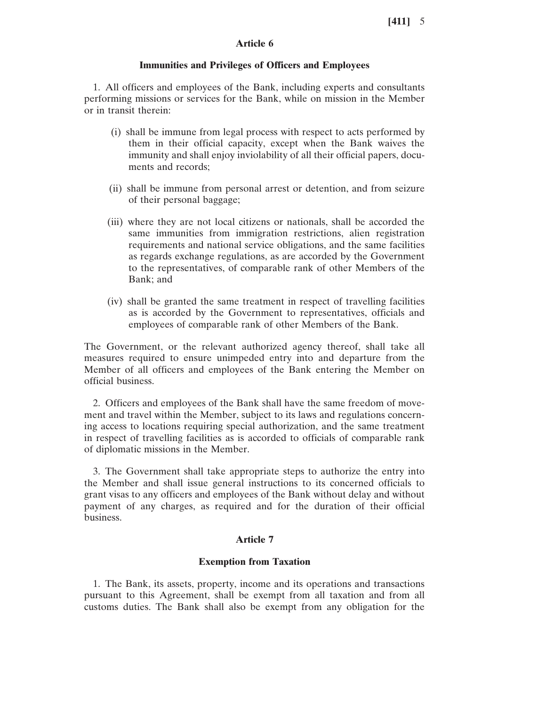# **Article 6**

### **Immunities and Privileges of Officers and Employees**

1. All officers and employees of the Bank, including experts and consultants performing missions or services for the Bank, while on mission in the Member or in transit therein:

- (i) shall be immune from legal process with respect to acts performed by them in their official capacity, except when the Bank waives the immunity and shall enjoy inviolability of all their official papers, documents and records;
- (ii) shall be immune from personal arrest or detention, and from seizure of their personal baggage;
- (iii) where they are not local citizens or nationals, shall be accorded the same immunities from immigration restrictions, alien registration requirements and national service obligations, and the same facilities as regards exchange regulations, as are accorded by the Government to the representatives, of comparable rank of other Members of the Bank; and
- (iv) shall be granted the same treatment in respect of travelling facilities as is accorded by the Government to representatives, officials and employees of comparable rank of other Members of the Bank.

The Government, or the relevant authorized agency thereof, shall take all measures required to ensure unimpeded entry into and departure from the Member of all officers and employees of the Bank entering the Member on official business.

2. Officers and employees of the Bank shall have the same freedom of movement and travel within the Member, subject to its laws and regulations concerning access to locations requiring special authorization, and the same treatment in respect of travelling facilities as is accorded to officials of comparable rank of diplomatic missions in the Member.

3. The Government shall take appropriate steps to authorize the entry into the Member and shall issue general instructions to its concerned officials to grant visas to any officers and employees of the Bank without delay and without payment of any charges, as required and for the duration of their official business.

## **Article 7**

#### **Exemption from Taxation**

1. The Bank, its assets, property, income and its operations and transactions pursuant to this Agreement, shall be exempt from all taxation and from all customs duties. The Bank shall also be exempt from any obligation for the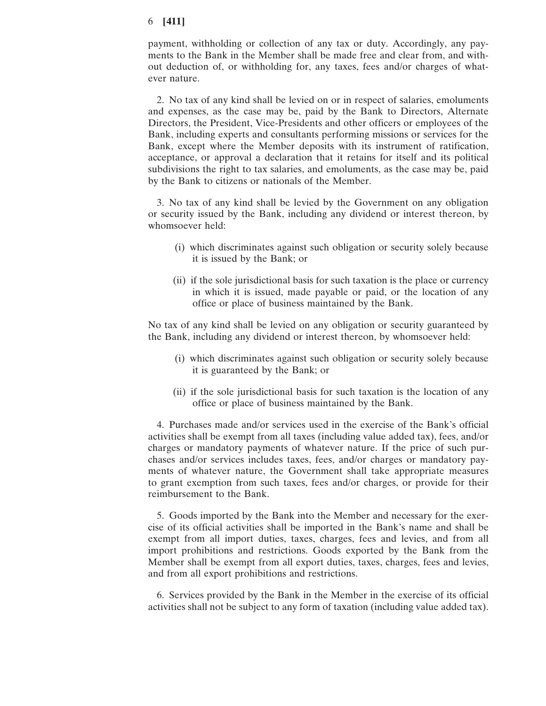payment, withholding or collection of any tax or duty. Accordingly, any payments to the Bank in the Member shall be made free and clear from, and without deduction of, or withholding for, any taxes, fees and/or charges of whatever nature.

2. No tax of any kind shall be levied on or in respect of salaries, emoluments and expenses, as the case may be, paid by the Bank to Directors, Alternate Directors, the President, Vice-Presidents and other officers or employees of the Bank, including experts and consultants performing missions or services for the Bank, except where the Member deposits with its instrument of ratification, acceptance, or approval a declaration that it retains for itself and its political subdivisions the right to tax salaries, and emoluments, as the case may be, paid by the Bank to citizens or nationals of the Member.

3. No tax of any kind shall be levied by the Government on any obligation or security issued by the Bank, including any dividend or interest thereon, by whomsoever held:

- (i) which discriminates against such obligation or security solely because it is issued by the Bank; or
- (ii) if the sole jurisdictional basis for such taxation is the place or currency in which it is issued, made payable or paid, or the location of any office or place of business maintained by the Bank.

No tax of any kind shall be levied on any obligation or security guaranteed by the Bank, including any dividend or interest thereon, by whomsoever held:

- (i) which discriminates against such obligation or security solely because it is guaranteed by the Bank; or
- (ii) if the sole jurisdictional basis for such taxation is the location of any office or place of business maintained by the Bank.

4. Purchases made and/or services used in the exercise of the Bank's official activities shall be exempt from all taxes (including value added tax), fees, and/or charges or mandatory payments of whatever nature. If the price of such purchases and/or services includes taxes, fees, and/or charges or mandatory payments of whatever nature, the Government shall take appropriate measures to grant exemption from such taxes, fees and/or charges, or provide for their reimbursement to the Bank.

5. Goods imported by the Bank into the Member and necessary for the exercise of its official activities shall be imported in the Bank's name and shall be exempt from all import duties, taxes, charges, fees and levies, and from all import prohibitions and restrictions. Goods exported by the Bank from the Member shall be exempt from all export duties, taxes, charges, fees and levies, and from all export prohibitions and restrictions.

6. Services provided by the Bank in the Member in the exercise of its official activities shall not be subject to any form of taxation (including value added tax).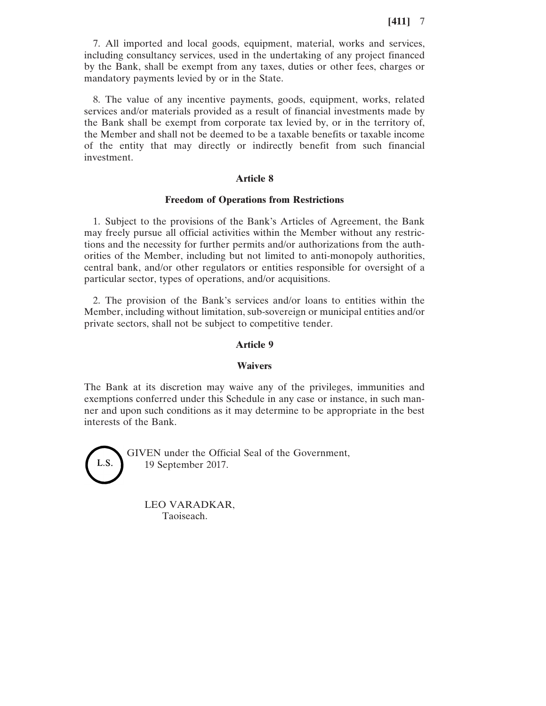7. All imported and local goods, equipment, material, works and services, including consultancy services, used in the undertaking of any project financed by the Bank, shall be exempt from any taxes, duties or other fees, charges or mandatory payments levied by or in the State.

8. The value of any incentive payments, goods, equipment, works, related services and/or materials provided as a result of financial investments made by the Bank shall be exempt from corporate tax levied by, or in the territory of, the Member and shall not be deemed to be a taxable benefits or taxable income of the entity that may directly or indirectly benefit from such financial investment.

### **Article 8**

### **Freedom of Operations from Restrictions**

1. Subject to the provisions of the Bank's Articles of Agreement, the Bank may freely pursue all official activities within the Member without any restrictions and the necessity for further permits and/or authorizations from the authorities of the Member, including but not limited to anti-monopoly authorities, central bank, and/or other regulators or entities responsible for oversight of a particular sector, types of operations, and/or acquisitions.

2. The provision of the Bank's services and/or loans to entities within the Member, including without limitation, sub-sovereign or municipal entities and/or private sectors, shall not be subject to competitive tender.

### **Article 9**

#### **Waivers**

The Bank at its discretion may waive any of the privileges, immunities and exemptions conferred under this Schedule in any case or instance, in such manner and upon such conditions as it may determine to be appropriate in the best interests of the Bank.



GIVEN under the Official Seal of the Government, 19 September 2017.

LEO VARADKAR, Taoiseach.